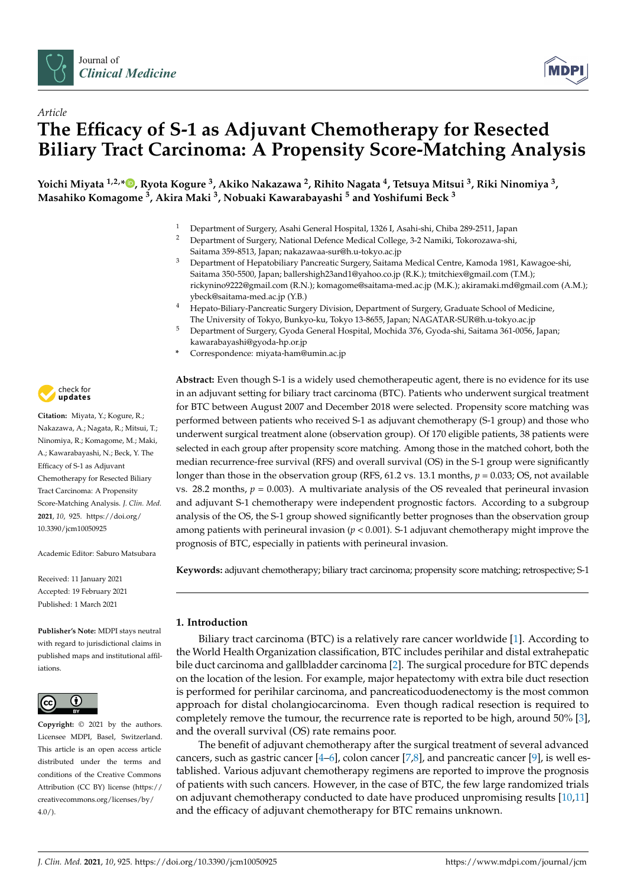



# *Article* **The Efficacy of S-1 as Adjuvant Chemotherapy for Resected Biliary Tract Carcinoma: A Propensity Score-Matching Analysis**

**Yoichi Miyata 1,2,[\\*](https://orcid.org/0000-0002-5201-4477) , Ryota Kogure <sup>3</sup> , Akiko Nakazawa <sup>2</sup> , Rihito Nagata <sup>4</sup> , Tetsuya Mitsui <sup>3</sup> , Riki Ninomiya <sup>3</sup> , Masahiko Komagome <sup>3</sup> , Akira Maki <sup>3</sup> , Nobuaki Kawarabayashi <sup>5</sup> and Yoshifumi Beck <sup>3</sup>**

- <sup>1</sup> Department of Surgery, Asahi General Hospital, 1326 I, Asahi-shi, Chiba 289-2511, Japan<br><sup>2</sup> Department of Surgery, National Defense Medical College, <sup>2, 2</sup> Namiki, Tekeragawa shi
- <sup>2</sup> Department of Surgery, National Defence Medical College, 3-2 Namiki, Tokorozawa-shi, Saitama 359-8513, Japan; nakazawaa-sur@h.u-tokyo.ac.jp
- <sup>3</sup> Department of Hepatobiliary Pancreatic Surgery, Saitama Medical Centre, Kamoda 1981, Kawagoe-shi, Saitama 350-5500, Japan; ballershigh23and1@yahoo.co.jp (R.K.); tmitchiex@gmail.com (T.M.); rickynino9222@gmail.com (R.N.); komagome@saitama-med.ac.jp (M.K.); akiramaki.md@gmail.com (A.M.); ybeck@saitama-med.ac.jp (Y.B.)
- <sup>4</sup> Hepato-Biliary-Pancreatic Surgery Division, Department of Surgery, Graduate School of Medicine, The University of Tokyo, Bunkyo-ku, Tokyo 13-8655, Japan; NAGATAR-SUR@h.u-tokyo.ac.jp
- <sup>5</sup> Department of Surgery, Gyoda General Hospital, Mochida 376, Gyoda-shi, Saitama 361-0056, Japan; kawarabayashi@gyoda-hp.or.jp
- **\*** Correspondence: miyata-ham@umin.ac.jp

**Abstract:** Even though S-1 is a widely used chemotherapeutic agent, there is no evidence for its use in an adjuvant setting for biliary tract carcinoma (BTC). Patients who underwent surgical treatment for BTC between August 2007 and December 2018 were selected. Propensity score matching was performed between patients who received S-1 as adjuvant chemotherapy (S-1 group) and those who underwent surgical treatment alone (observation group). Of 170 eligible patients, 38 patients were selected in each group after propensity score matching. Among those in the matched cohort, both the median recurrence-free survival (RFS) and overall survival (OS) in the S-1 group were significantly longer than those in the observation group (RFS, 61.2 vs. 13.1 months, *p* = 0.033; OS, not available vs. 28.2 months,  $p = 0.003$ ). A multivariate analysis of the OS revealed that perineural invasion and adjuvant S-1 chemotherapy were independent prognostic factors. According to a subgroup analysis of the OS, the S-1 group showed significantly better prognoses than the observation group among patients with perineural invasion (*p* < 0.001). S-1 adjuvant chemotherapy might improve the prognosis of BTC, especially in patients with perineural invasion.

**Keywords:** adjuvant chemotherapy; biliary tract carcinoma; propensity score matching; retrospective; S-1

## **1. Introduction**

Biliary tract carcinoma (BTC) is a relatively rare cancer worldwide [\[1\]](#page-8-0). According to the World Health Organization classification, BTC includes perihilar and distal extrahepatic bile duct carcinoma and gallbladder carcinoma [\[2\]](#page-8-1). The surgical procedure for BTC depends on the location of the lesion. For example, major hepatectomy with extra bile duct resection is performed for perihilar carcinoma, and pancreaticoduodenectomy is the most common approach for distal cholangiocarcinoma. Even though radical resection is required to completely remove the tumour, the recurrence rate is reported to be high, around 50% [\[3\]](#page-8-2), and the overall survival (OS) rate remains poor.

The benefit of adjuvant chemotherapy after the surgical treatment of several advanced cancers, such as gastric cancer  $[4-6]$  $[4-6]$ , colon cancer  $[7,8]$  $[7,8]$ , and pancreatic cancer  $[9]$ , is well established. Various adjuvant chemotherapy regimens are reported to improve the prognosis of patients with such cancers. However, in the case of BTC, the few large randomized trials on adjuvant chemotherapy conducted to date have produced unpromising results [\[10](#page-8-8)[,11\]](#page-8-9) and the efficacy of adjuvant chemotherapy for BTC remains unknown.



**Citation:** Miyata, Y.; Kogure, R.; Nakazawa, A.; Nagata, R.; Mitsui, T.; Ninomiya, R.; Komagome, M.; Maki, A.; Kawarabayashi, N.; Beck, Y. The Efficacy of S-1 as Adjuvant Chemotherapy for Resected Biliary Tract Carcinoma: A Propensity Score-Matching Analysis. *J. Clin. Med.* **2021**, *10*, 925. [https://doi.org/](https://doi.org/10.3390/jcm10050925) [10.3390/jcm10050925](https://doi.org/10.3390/jcm10050925)

Academic Editor: Saburo Matsubara

Received: 11 January 2021 Accepted: 19 February 2021 Published: 1 March 2021

**Publisher's Note:** MDPI stays neutral with regard to jurisdictional claims in published maps and institutional affiliations.



**Copyright:** © 2021 by the authors. Licensee MDPI, Basel, Switzerland. This article is an open access article distributed under the terms and conditions of the Creative Commons Attribution (CC BY) license (https:/[/](https://creativecommons.org/licenses/by/4.0/) [creativecommons.org/licenses/by/](https://creativecommons.org/licenses/by/4.0/)  $4.0/$ ).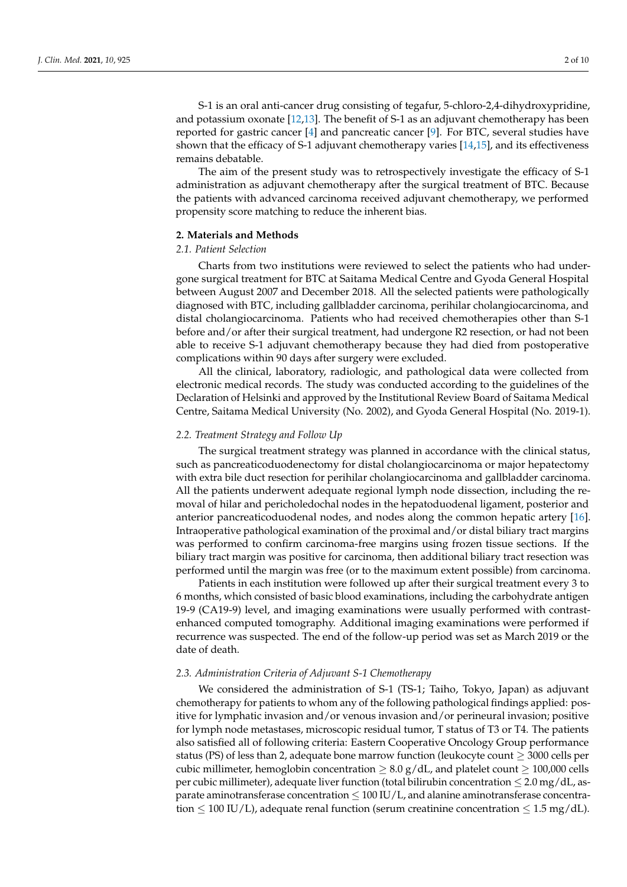S-1 is an oral anti-cancer drug consisting of tegafur, 5-chloro-2,4-dihydroxypridine, and potassium oxonate [\[12](#page-8-10)[,13\]](#page-8-11). The benefit of S-1 as an adjuvant chemotherapy has been reported for gastric cancer [\[4\]](#page-8-3) and pancreatic cancer [\[9\]](#page-8-7). For BTC, several studies have shown that the efficacy of S-1 adjuvant chemotherapy varies [\[14](#page-8-12)[,15\]](#page-8-13), and its effectiveness remains debatable.

The aim of the present study was to retrospectively investigate the efficacy of S-1 administration as adjuvant chemotherapy after the surgical treatment of BTC. Because the patients with advanced carcinoma received adjuvant chemotherapy, we performed propensity score matching to reduce the inherent bias.

#### **2. Materials and Methods**

## *2.1. Patient Selection*

Charts from two institutions were reviewed to select the patients who had undergone surgical treatment for BTC at Saitama Medical Centre and Gyoda General Hospital between August 2007 and December 2018. All the selected patients were pathologically diagnosed with BTC, including gallbladder carcinoma, perihilar cholangiocarcinoma, and distal cholangiocarcinoma. Patients who had received chemotherapies other than S-1 before and/or after their surgical treatment, had undergone R2 resection, or had not been able to receive S-1 adjuvant chemotherapy because they had died from postoperative complications within 90 days after surgery were excluded.

All the clinical, laboratory, radiologic, and pathological data were collected from electronic medical records. The study was conducted according to the guidelines of the Declaration of Helsinki and approved by the Institutional Review Board of Saitama Medical Centre, Saitama Medical University (No. 2002), and Gyoda General Hospital (No. 2019-1).

#### *2.2. Treatment Strategy and Follow Up*

The surgical treatment strategy was planned in accordance with the clinical status, such as pancreaticoduodenectomy for distal cholangiocarcinoma or major hepatectomy with extra bile duct resection for perihilar cholangiocarcinoma and gallbladder carcinoma. All the patients underwent adequate regional lymph node dissection, including the removal of hilar and pericholedochal nodes in the hepatoduodenal ligament, posterior and anterior pancreaticoduodenal nodes, and nodes along the common hepatic artery [\[16\]](#page-8-14). Intraoperative pathological examination of the proximal and/or distal biliary tract margins was performed to confirm carcinoma-free margins using frozen tissue sections. If the biliary tract margin was positive for carcinoma, then additional biliary tract resection was performed until the margin was free (or to the maximum extent possible) from carcinoma.

Patients in each institution were followed up after their surgical treatment every 3 to 6 months, which consisted of basic blood examinations, including the carbohydrate antigen 19-9 (CA19-9) level, and imaging examinations were usually performed with contrastenhanced computed tomography. Additional imaging examinations were performed if recurrence was suspected. The end of the follow-up period was set as March 2019 or the date of death.

#### *2.3. Administration Criteria of Adjuvant S-1 Chemotherapy*

We considered the administration of S-1 (TS-1; Taiho, Tokyo, Japan) as adjuvant chemotherapy for patients to whom any of the following pathological findings applied: positive for lymphatic invasion and/or venous invasion and/or perineural invasion; positive for lymph node metastases, microscopic residual tumor, T status of T3 or T4. The patients also satisfied all of following criteria: Eastern Cooperative Oncology Group performance status (PS) of less than 2, adequate bone marrow function (leukocyte count  $\geq$  3000 cells per cubic millimeter, hemoglobin concentration  $\geq 8.0$  g/dL, and platelet count  $\geq 100,000$  cells per cubic millimeter), adequate liver function (total bilirubin concentration  $\leq 2.0$  mg/dL, asparate aminotransferase concentration  $\leq 100$  IU/L, and alanine aminotransferase concentration  $\leq 100$  IU/L), adequate renal function (serum creatinine concentration  $\leq 1.5$  mg/dL).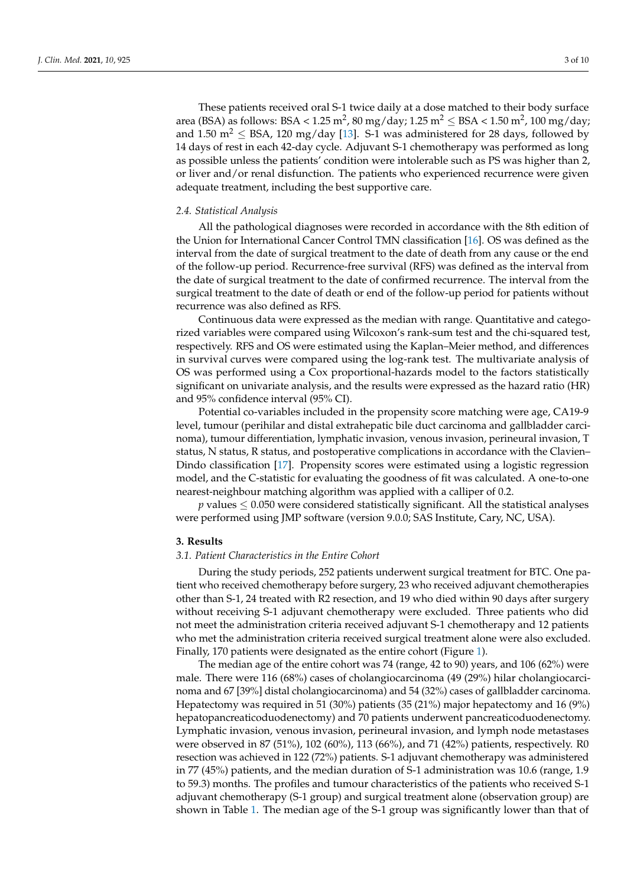These patients received oral S-1 twice daily at a dose matched to their body surface area (BSA) as follows: BSA < 1.25 m $^2$ , 80 mg/day; 1.25 m $^2$   $\leq$  BSA < 1.50 m $^2$ , 100 mg/day; and 1.50  $\text{m}^2 \leq \text{BSA}$ , 120 mg/day [\[13\]](#page-8-11). S-1 was administered for 28 days, followed by 14 days of rest in each 42-day cycle. Adjuvant S-1 chemotherapy was performed as long as possible unless the patients' condition were intolerable such as PS was higher than 2, or liver and/or renal disfunction. The patients who experienced recurrence were given adequate treatment, including the best supportive care.

#### *2.4. Statistical Analysis*

All the pathological diagnoses were recorded in accordance with the 8th edition of the Union for International Cancer Control TMN classification [\[16\]](#page-8-14). OS was defined as the interval from the date of surgical treatment to the date of death from any cause or the end of the follow-up period. Recurrence-free survival (RFS) was defined as the interval from the date of surgical treatment to the date of confirmed recurrence. The interval from the surgical treatment to the date of death or end of the follow-up period for patients without recurrence was also defined as RFS.

Continuous data were expressed as the median with range. Quantitative and categorized variables were compared using Wilcoxon's rank-sum test and the chi-squared test, respectively. RFS and OS were estimated using the Kaplan–Meier method, and differences in survival curves were compared using the log-rank test. The multivariate analysis of OS was performed using a Cox proportional-hazards model to the factors statistically significant on univariate analysis, and the results were expressed as the hazard ratio (HR) and 95% confidence interval (95% CI).

Potential co-variables included in the propensity score matching were age, CA19-9 level, tumour (perihilar and distal extrahepatic bile duct carcinoma and gallbladder carcinoma), tumour differentiation, lymphatic invasion, venous invasion, perineural invasion, T status, N status, R status, and postoperative complications in accordance with the Clavien– Dindo classification [\[17\]](#page-8-15). Propensity scores were estimated using a logistic regression model, and the C-statistic for evaluating the goodness of fit was calculated. A one-to-one nearest-neighbour matching algorithm was applied with a calliper of 0.2.

 $p$  values  $\leq$  0.050 were considered statistically significant. All the statistical analyses were performed using JMP software (version 9.0.0; SAS Institute, Cary, NC, USA).

#### **3. Results**

#### *3.1. Patient Characteristics in the Entire Cohort*

During the study periods, 252 patients underwent surgical treatment for BTC. One patient who received chemotherapy before surgery, 23 who received adjuvant chemotherapies other than S-1, 24 treated with R2 resection, and 19 who died within 90 days after surgery without receiving S-1 adjuvant chemotherapy were excluded. Three patients who did not meet the administration criteria received adjuvant S-1 chemotherapy and 12 patients who met the administration criteria received surgical treatment alone were also excluded. Finally, 170 patients were designated as the entire cohort (Figure [1\)](#page-3-0).

The median age of the entire cohort was 74 (range, 42 to 90) years, and 106 (62%) were male. There were 116 (68%) cases of cholangiocarcinoma (49 (29%) hilar cholangiocarcinoma and 67 [39%] distal cholangiocarcinoma) and 54 (32%) cases of gallbladder carcinoma. Hepatectomy was required in 51 (30%) patients (35 (21%) major hepatectomy and 16 (9%) hepatopancreaticoduodenectomy) and 70 patients underwent pancreaticoduodenectomy. Lymphatic invasion, venous invasion, perineural invasion, and lymph node metastases were observed in 87 (51%), 102 (60%), 113 (66%), and 71 (42%) patients, respectively. R0 resection was achieved in 122 (72%) patients. S-1 adjuvant chemotherapy was administered in 77 (45%) patients, and the median duration of S-1 administration was 10.6 (range, 1.9 to 59.3) months. The profiles and tumour characteristics of the patients who received S-1 adjuvant chemotherapy (S-1 group) and surgical treatment alone (observation group) are shown in Table [1.](#page-3-1) The median age of the S-1 group was significantly lower than that of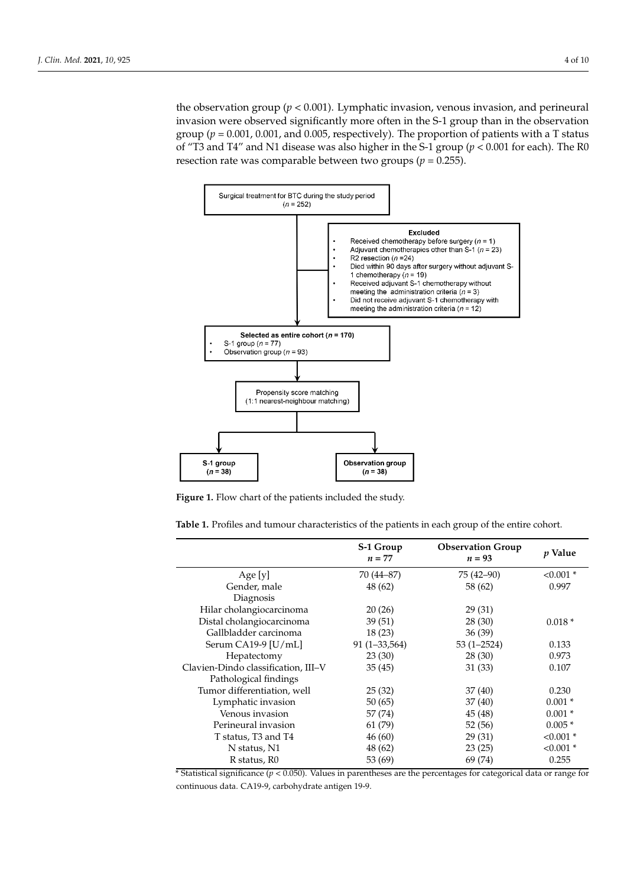the observation group ( $p < 0.001$ ). Lymphatic invasion, venous invasion, and perineural invasion were observed significantly more often in the S-1 group than in the observation group ( $p = 0.001$ , 0.001, and 0.005, respectively). The proportion of patients with a T status of "T3 and T4" and N1 disease was also higher in the S-1 group (*p* < 0.001 for each). The R0 resection rate was comparable between two groups (*p* = 0.255).

<span id="page-3-0"></span>

**Figure 1.** Flow chart of the patients included the study. **Figure 1.** Flow chart of the patients included the study.

<span id="page-3-1"></span>**Table 1.** Profiles and tumour characteristics of the patients in each group of the entire cohort.

|                                     | S-1 Group<br>$n = 77$ | <b>Observation Group</b><br>$n = 93$ | p Value     |
|-------------------------------------|-----------------------|--------------------------------------|-------------|
| Age [y]                             | 70 (44–87)            | $75(42-90)$                          | $< 0.001$ * |
| Gender, male                        | 48 (62)               | 58 (62)                              | 0.997       |
| Diagnosis                           |                       |                                      |             |
| Hilar cholangiocarcinoma            | 20(26)                | 29 (31)                              |             |
| Distal cholangiocarcinoma           | 39(51)                | 28 (30)                              | $0.018*$    |
| Gallbladder carcinoma               | 18(23)                | 36(39)                               |             |
| Serum CA19-9 $[U/mL]$               | $91(1-33,564)$        | $53(1 - 2524)$                       | 0.133       |
| Hepatectomy                         | 23(30)                | 28(30)                               | 0.973       |
| Clavien-Dindo classification, III-V | 35(45)                | 31 (33)                              | 0.107       |
| Pathological findings               |                       |                                      |             |
| Tumor differentiation, well         | 25(32)                | 37(40)                               | 0.230       |
| Lymphatic invasion                  | 50 (65)               | 37(40)                               | $0.001*$    |
| Venous invasion                     | 57 (74)               | 45 (48)                              | $0.001*$    |
| Perineural invasion                 | 61 (79)               | 52 (56)                              | $0.005*$    |
| T status, T3 and T4                 | 46(60)                | 29 (31)                              | $< 0.001$ * |
| N status, N1                        | 48 (62)               | 23(25)                               | $< 0.001$ * |
| R status, R0                        | 53 (69)               | 69 (74)                              | 0.255       |

\* Statistical significance ( $p < 0.050$ ). Values in parentheses are the percentages for categorical data or range for<br>continuous data  $C\Lambda^{10}$  8 carbohydrate antigon 19.9 continuous data. CA19-9, carbohydrate antigen 19-9.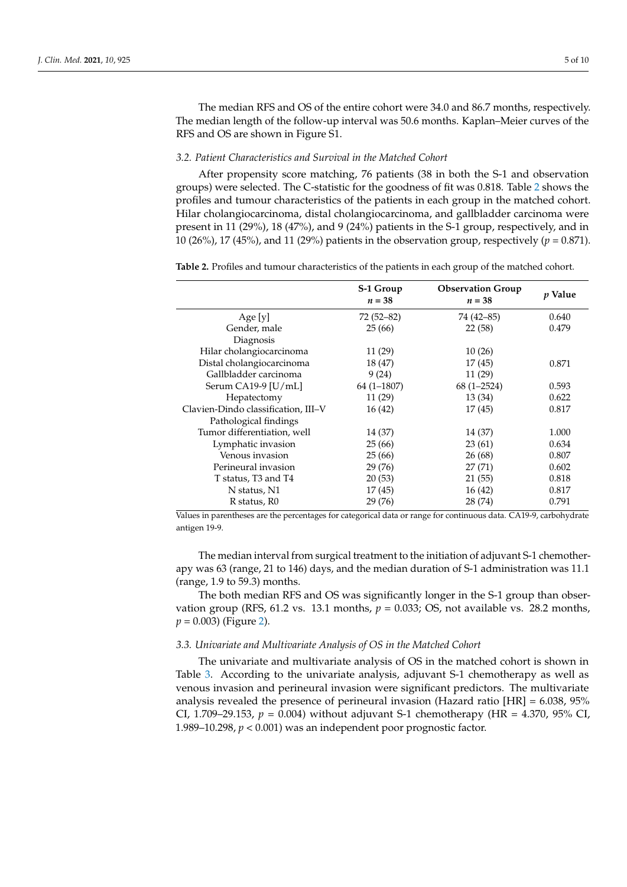The median RFS and OS of the entire cohort were 34.0 and 86.7 months, respectively. The median length of the follow-up interval was 50.6 months. Kaplan–Meier curves of the RFS and OS are shown in Figure S1.

#### *3.2. Patient Characteristics and Survival in the Matched Cohort*

After propensity score matching, 76 patients (38 in both the S-1 and observation groups) were selected. The C-statistic for the goodness of fit was 0.818. Table [2](#page-4-0) shows the profiles and tumour characteristics of the patients in each group in the matched cohort. Hilar cholangiocarcinoma, distal cholangiocarcinoma, and gallbladder carcinoma were present in 11 (29%), 18 (47%), and 9 (24%) patients in the S-1 group, respectively, and in 10 (26%), 17 (45%), and 11 (29%) patients in the observation group, respectively (*p* = 0.871).

<span id="page-4-0"></span>

| <b>Table 2.</b> Profiles and tumour characteristics of the patients in each group of the matched cohort. |  |  |
|----------------------------------------------------------------------------------------------------------|--|--|
|                                                                                                          |  |  |

|                                     | S-1 Group<br>$n = 38$ | <b>Observation Group</b><br>$n = 38$ | p Value |
|-------------------------------------|-----------------------|--------------------------------------|---------|
| Age [y]                             | $72(52 - 82)$         | 74 (42-85)                           | 0.640   |
| Gender, male                        | 25(66)                | 22(58)                               | 0.479   |
| Diagnosis                           |                       |                                      |         |
| Hilar cholangiocarcinoma            | 11(29)                | 10(26)                               |         |
| Distal cholangiocarcinoma           | 18 (47)               | 17(45)                               | 0.871   |
| Gallbladder carcinoma               | 9(24)                 | 11 (29)                              |         |
| Serum CA19-9 [U/mL]                 | $64(1-1807)$          | $68(1 - 2524)$                       | 0.593   |
| Hepatectomy                         | 11(29)                | 13 (34)                              | 0.622   |
| Clavien-Dindo classification, III-V | 16 (42)               | 17(45)                               | 0.817   |
| Pathological findings               |                       |                                      |         |
| Tumor differentiation, well         | 14 (37)               | 14 (37)                              | 1.000   |
| Lymphatic invasion                  | 25(66)                | 23(61)                               | 0.634   |
| Venous invasion                     | 25(66)                | 26 (68)                              | 0.807   |
| Perineural invasion                 | 29 (76)               | 27(71)                               | 0.602   |
| T status, T3 and T4                 | 20(53)                | 21(55)                               | 0.818   |
| N status, N1                        | 17(45)                | 16(42)                               | 0.817   |
| R status, R0                        | 29 (76)               | 28 (74)                              | 0.791   |

Values in parentheses are the percentages for categorical data or range for continuous data. CA19-9, carbohydrate antigen 19-9.

The median interval from surgical treatment to the initiation of adjuvant S-1 chemotherapy was 63 (range, 21 to 146) days, and the median duration of S-1 administration was 11.1 (range, 1.9 to 59.3) months.

The both median RFS and OS was significantly longer in the S-1 group than observation group (RFS, 61.2 vs. 13.1 months,  $p = 0.033$ ; OS, not available vs. 28.2 months,  $p = 0.003$ ) (Figure [2\)](#page-5-0).

#### *3.3. Univariate and Multivariate Analysis of OS in the Matched Cohort*

The univariate and multivariate analysis of OS in the matched cohort is shown in Table [3.](#page-6-0) According to the univariate analysis, adjuvant S-1 chemotherapy as well as venous invasion and perineural invasion were significant predictors. The multivariate analysis revealed the presence of perineural invasion (Hazard ratio [HR] = 6.038, 95% CI, 1.709–29.153, *p* = 0.004) without adjuvant S-1 chemotherapy (HR = 4.370, 95% CI, 1.989–10.298, *p* < 0.001) was an independent poor prognostic factor.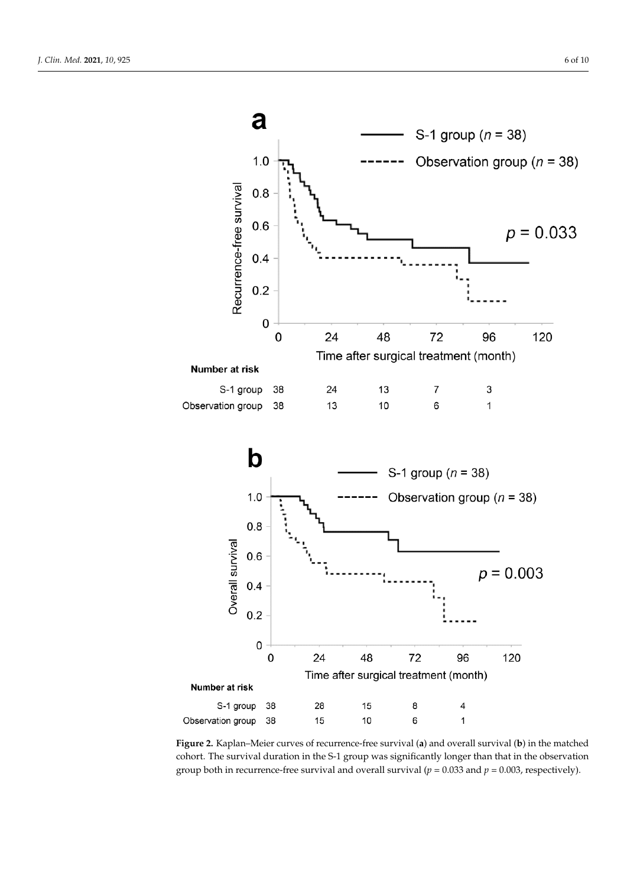(Figure 2).

<span id="page-5-0"></span>

group both in recurrence-free survival and overall survival ( $p = 0.033$  and  $p = 0.003$ , respectively). **Figure 2.** Kaplan–Meier curves of recurrence-free survival (**a**) and overall survival (**b**) in the matched cohort. The survival duration in the S-1 group was significantly longer than that in the observation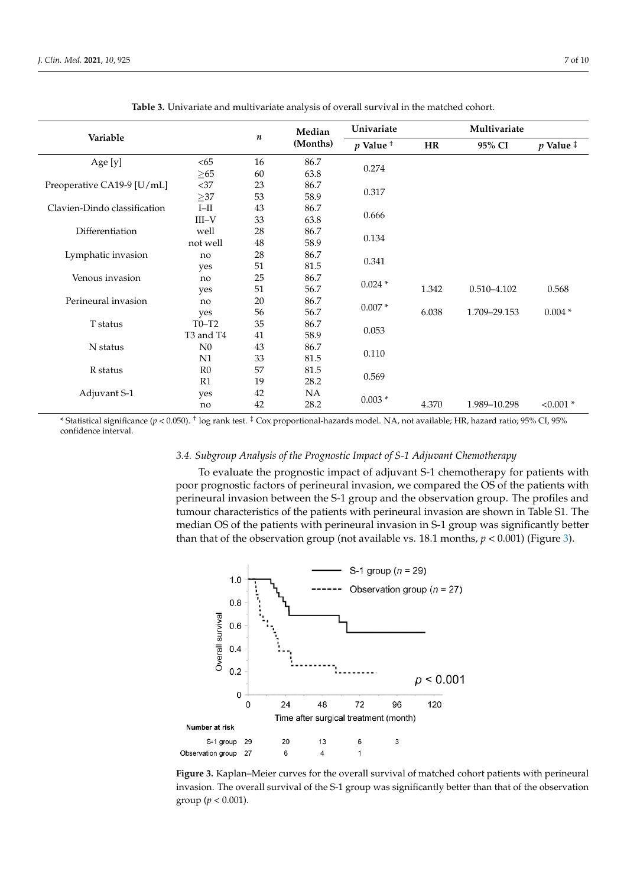| Variable                     |                | $\pmb{n}$ | Median<br>(Months) | Univariate    |       |                 |                    |
|------------------------------|----------------|-----------|--------------------|---------------|-------|-----------------|--------------------|
|                              |                |           |                    | $p$ Value $†$ | HR    | 95% CI          | p Value $\ddagger$ |
| Age [y]                      | <65            | 16        | 86.7               |               |       |                 |                    |
|                              | ${\geq}65$     | 60        | 63.8               | 0.274         |       |                 |                    |
| Preoperative CA19-9 [U/mL]   | $<37$          | 23        | 86.7               |               |       |                 |                    |
|                              | ${\geq}37$     | 53        | 58.9               | 0.317         |       |                 |                    |
| Clavien-Dindo classification | $I$ -II        | 43        | 86.7               |               |       |                 |                    |
|                              | $III-V$        | 33        | 63.8               | 0.666         |       |                 |                    |
| Differentiation              | well           | 28        | 86.7               |               |       |                 |                    |
|                              | not well       | $\rm 48$  | 58.9               | 0.134         |       |                 |                    |
| Lymphatic invasion           | no             | 28        | 86.7               |               |       |                 |                    |
|                              | yes            | 51        | 81.5               | 0.341         |       |                 |                    |
| Venous invasion              | no             | 25        | 86.7               | $0.024*$      |       |                 |                    |
|                              | yes            | 51        | 56.7               |               | 1.342 | $0.510 - 4.102$ | 0.568              |
| Perineural invasion          | no             | 20        | 86.7               |               |       |                 |                    |
|                              | yes            | 56        | 56.7               | $0.007*$      | 6.038 | 1.709-29.153    | $0.004*$           |
| T status                     | $T0-T2$        | 35        | 86.7               | 0.053         |       |                 |                    |
|                              | T3 and T4      | 41        | 58.9               |               |       |                 |                    |
| N status                     | ${\rm N}0$     | 43        | 86.7               | 0.110         |       |                 |                    |
|                              | N <sub>1</sub> | 33        | 81.5               |               |       |                 |                    |
| R status                     | R <sub>0</sub> | 57        | 81.5               | 0.569         |       |                 |                    |
|                              | R1             | 19        | 28.2               |               |       |                 |                    |
| Adjuvant S-1                 | yes            | 42        | NA                 | $0.003*$      |       |                 |                    |
|                              | no             | 42        | 28.2               |               | 4.370 | 1.989-10.298    | $< 0.001$ *        |

<span id="page-6-0"></span>Table 3. Univariate and multivariate analysis of overall survival in the matched cohort.

 $\mathcal{I}=\{1,2,3,4,5\}$  , we can consider the set of  $\mathcal{I}=\{1,3,4,5\}$ 

\* Statistical significance (p < 0.050). <sup>†</sup> log rank test. <sup>‡</sup> Cox proportional-hazards model. NA, not available; HR, hazard ratio; 95% CI, 95%<br>confidence interval confidence interval.

## 3.4. Subgroup Analysis of the Prognostic Impact of S-1 Adjuvant Chemotherapy

To evaluate the prognostic impact of adjuvant S-1 chemotherapy for patients with person care the patients with period is the patients with period in Table S1. The patients with period is the patient of the patients with pe poor prognostic factors of perineural invasion, we compared the OS of the patients with perineural invasion between the S-1 group and the observation group. The profiles and perineural invasion between the S-1 group and the observation group. The profiles and tumour characteristics of the patients with perineural invasion are shown in Table S1. The median OS of the patients with perineural invasion in S-1 group was significantly better than that of the observation group (not available vs. 18.1 months,  $p < 0.001$ ) (Figure [3\)](#page-6-1).

<span id="page-6-1"></span>

invasion. The overall survival of the S-1 group was significantly better than that of the observation  $(r \le 0.001)$  $\overline{a}$  invariantly better than that of the S-1 group was significantly better than that of the observation of the observation of the observation of the observation of the observation of the observation of the observatio **Figure 3.** Kaplan–Meier curves for the overall survival of matched cohort patients with perineural group ( $p < 0.001$ ).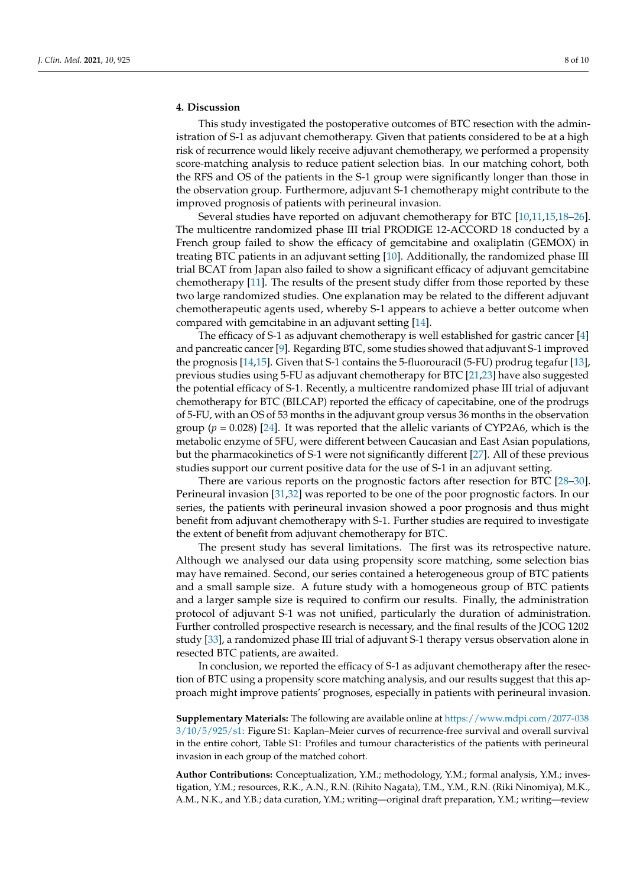## **4. Discussion**

This study investigated the postoperative outcomes of BTC resection with the administration of S-1 as adjuvant chemotherapy. Given that patients considered to be at a high risk of recurrence would likely receive adjuvant chemotherapy, we performed a propensity score-matching analysis to reduce patient selection bias. In our matching cohort, both the RFS and OS of the patients in the S-1 group were significantly longer than those in the observation group. Furthermore, adjuvant S-1 chemotherapy might contribute to the improved prognosis of patients with perineural invasion.

Several studies have reported on adjuvant chemotherapy for BTC [\[10,](#page-8-8)[11,](#page-8-9)[15,](#page-8-13)[18](#page-9-0)[–26\]](#page-9-1). The multicentre randomized phase III trial PRODIGE 12-ACCORD 18 conducted by a French group failed to show the efficacy of gemcitabine and oxaliplatin (GEMOX) in treating BTC patients in an adjuvant setting [\[10\]](#page-8-8). Additionally, the randomized phase III trial BCAT from Japan also failed to show a significant efficacy of adjuvant gemcitabine chemotherapy [\[11\]](#page-8-9). The results of the present study differ from those reported by these two large randomized studies. One explanation may be related to the different adjuvant chemotherapeutic agents used, whereby S-1 appears to achieve a better outcome when compared with gemcitabine in an adjuvant setting [\[14\]](#page-8-12).

The efficacy of S-1 as adjuvant chemotherapy is well established for gastric cancer [\[4\]](#page-8-3) and pancreatic cancer [\[9\]](#page-8-7). Regarding BTC, some studies showed that adjuvant S-1 improved the prognosis [\[14](#page-8-12)[,15\]](#page-8-13). Given that S-1 contains the 5-fluorouracil (5-FU) prodrug tegafur [\[13\]](#page-8-11), previous studies using 5-FU as adjuvant chemotherapy for BTC [\[21](#page-9-2)[,23\]](#page-9-3) have also suggested the potential efficacy of S-1. Recently, a multicentre randomized phase III trial of adjuvant chemotherapy for BTC (BILCAP) reported the efficacy of capecitabine, one of the prodrugs of 5-FU, with an OS of 53 months in the adjuvant group versus 36 months in the observation group ( $p = 0.028$ ) [\[24\]](#page-9-4). It was reported that the allelic variants of CYP2A6, which is the metabolic enzyme of 5FU, were different between Caucasian and East Asian populations, but the pharmacokinetics of S-1 were not significantly different [\[27\]](#page-9-5). All of these previous studies support our current positive data for the use of S-1 in an adjuvant setting.

There are various reports on the prognostic factors after resection for BTC [\[28](#page-9-6)[–30\]](#page-9-7). Perineural invasion [\[31,](#page-9-8)[32\]](#page-9-9) was reported to be one of the poor prognostic factors. In our series, the patients with perineural invasion showed a poor prognosis and thus might benefit from adjuvant chemotherapy with S-1. Further studies are required to investigate the extent of benefit from adjuvant chemotherapy for BTC.

The present study has several limitations. The first was its retrospective nature. Although we analysed our data using propensity score matching, some selection bias may have remained. Second, our series contained a heterogeneous group of BTC patients and a small sample size. A future study with a homogeneous group of BTC patients and a larger sample size is required to confirm our results. Finally, the administration protocol of adjuvant S-1 was not unified, particularly the duration of administration. Further controlled prospective research is necessary, and the final results of the JCOG 1202 study [\[33\]](#page-9-10), a randomized phase III trial of adjuvant S-1 therapy versus observation alone in resected BTC patients, are awaited.

In conclusion, we reported the efficacy of S-1 as adjuvant chemotherapy after the resection of BTC using a propensity score matching analysis, and our results suggest that this approach might improve patients' prognoses, especially in patients with perineural invasion.

**Supplementary Materials:** The following are available online at [https://www.mdpi.com/2077-038](https://www.mdpi.com/2077-0383/10/5/925/s1) [3/10/5/925/s1:](https://www.mdpi.com/2077-0383/10/5/925/s1) Figure S1: Kaplan–Meier curves of recurrence-free survival and overall survival in the entire cohort, Table S1: Profiles and tumour characteristics of the patients with perineural invasion in each group of the matched cohort.

**Author Contributions:** Conceptualization, Y.M.; methodology, Y.M.; formal analysis, Y.M.; investigation, Y.M.; resources, R.K., A.N., R.N. (Rihito Nagata), T.M., Y.M., R.N. (Riki Ninomiya), M.K., A.M., N.K., and Y.B.; data curation, Y.M.; writing—original draft preparation, Y.M.; writing—review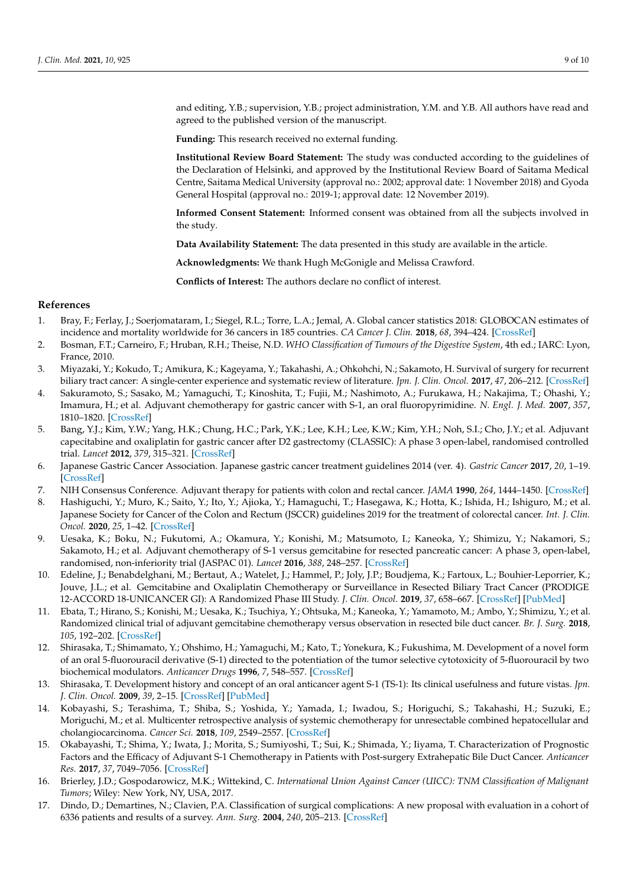and editing, Y.B.; supervision, Y.B.; project administration, Y.M. and Y.B. All authors have read and agreed to the published version of the manuscript.

**Funding:** This research received no external funding.

**Institutional Review Board Statement:** The study was conducted according to the guidelines of the Declaration of Helsinki, and approved by the Institutional Review Board of Saitama Medical Centre, Saitama Medical University (approval no.: 2002; approval date: 1 November 2018) and Gyoda General Hospital (approval no.: 2019-1; approval date: 12 November 2019).

**Informed Consent Statement:** Informed consent was obtained from all the subjects involved in the study.

**Data Availability Statement:** The data presented in this study are available in the article.

**Acknowledgments:** We thank Hugh McGonigle and Melissa Crawford.

**Conflicts of Interest:** The authors declare no conflict of interest.

#### **References**

- <span id="page-8-0"></span>1. Bray, F.; Ferlay, J.; Soerjomataram, I.; Siegel, R.L.; Torre, L.A.; Jemal, A. Global cancer statistics 2018: GLOBOCAN estimates of incidence and mortality worldwide for 36 cancers in 185 countries. *CA Cancer J. Clin.* **2018**, *68*, 394–424. [\[CrossRef\]](http://doi.org/10.3322/caac.21492)
- <span id="page-8-1"></span>2. Bosman, F.T.; Carneiro, F.; Hruban, R.H.; Theise, N.D. *WHO Classification of Tumours of the Digestive System*, 4th ed.; IARC: Lyon, France, 2010.
- <span id="page-8-2"></span>3. Miyazaki, Y.; Kokudo, T.; Amikura, K.; Kageyama, Y.; Takahashi, A.; Ohkohchi, N.; Sakamoto, H. Survival of surgery for recurrent biliary tract cancer: A single-center experience and systematic review of literature. *Jpn. J. Clin. Oncol.* **2017**, *47*, 206–212. [\[CrossRef\]](http://doi.org/10.1093/jjco/hyw182)
- <span id="page-8-3"></span>4. Sakuramoto, S.; Sasako, M.; Yamaguchi, T.; Kinoshita, T.; Fujii, M.; Nashimoto, A.; Furukawa, H.; Nakajima, T.; Ohashi, Y.; Imamura, H.; et al. Adjuvant chemotherapy for gastric cancer with S-1, an oral fluoropyrimidine. *N. Engl. J. Med.* **2007**, *357*, 1810–1820. [\[CrossRef\]](http://doi.org/10.1056/NEJMoa072252)
- 5. Bang, Y.J.; Kim, Y.W.; Yang, H.K.; Chung, H.C.; Park, Y.K.; Lee, K.H.; Lee, K.W.; Kim, Y.H.; Noh, S.I.; Cho, J.Y.; et al. Adjuvant capecitabine and oxaliplatin for gastric cancer after D2 gastrectomy (CLASSIC): A phase 3 open-label, randomised controlled trial. *Lancet* **2012**, *379*, 315–321. [\[CrossRef\]](http://doi.org/10.1016/S0140-6736(11)61873-4)
- <span id="page-8-4"></span>6. Japanese Gastric Cancer Association. Japanese gastric cancer treatment guidelines 2014 (ver. 4). *Gastric Cancer* **2017**, *20*, 1–19. [\[CrossRef\]](http://doi.org/10.1007/s10120-016-0622-4)
- <span id="page-8-5"></span>7. NIH Consensus Conference. Adjuvant therapy for patients with colon and rectal cancer. *JAMA* **1990**, *264*, 1444–1450. [\[CrossRef\]](http://doi.org/10.1001/jama.1990.03450110090034)
- <span id="page-8-6"></span>8. Hashiguchi, Y.; Muro, K.; Saito, Y.; Ito, Y.; Ajioka, Y.; Hamaguchi, T.; Hasegawa, K.; Hotta, K.; Ishida, H.; Ishiguro, M.; et al. Japanese Society for Cancer of the Colon and Rectum (JSCCR) guidelines 2019 for the treatment of colorectal cancer. *Int. J. Clin. Oncol.* **2020**, *25*, 1–42. [\[CrossRef\]](http://doi.org/10.1007/s10147-019-01485-z)
- <span id="page-8-7"></span>9. Uesaka, K.; Boku, N.; Fukutomi, A.; Okamura, Y.; Konishi, M.; Matsumoto, I.; Kaneoka, Y.; Shimizu, Y.; Nakamori, S.; Sakamoto, H.; et al. Adjuvant chemotherapy of S-1 versus gemcitabine for resected pancreatic cancer: A phase 3, open-label, randomised, non-inferiority trial (JASPAC 01). *Lancet* **2016**, *388*, 248–257. [\[CrossRef\]](http://doi.org/10.1016/S0140-6736(16)30583-9)
- <span id="page-8-8"></span>10. Edeline, J.; Benabdelghani, M.; Bertaut, A.; Watelet, J.; Hammel, P.; Joly, J.P.; Boudjema, K.; Fartoux, L.; Bouhier-Leporrier, K.; Jouve, J.L.; et al. Gemcitabine and Oxaliplatin Chemotherapy or Surveillance in Resected Biliary Tract Cancer (PRODIGE 12-ACCORD 18-UNICANCER GI): A Randomized Phase III Study. *J. Clin. Oncol.* **2019**, *37*, 658–667. [\[CrossRef\]](http://doi.org/10.1200/JCO.18.00050) [\[PubMed\]](http://www.ncbi.nlm.nih.gov/pubmed/30707660)
- <span id="page-8-9"></span>11. Ebata, T.; Hirano, S.; Konishi, M.; Uesaka, K.; Tsuchiya, Y.; Ohtsuka, M.; Kaneoka, Y.; Yamamoto, M.; Ambo, Y.; Shimizu, Y.; et al. Randomized clinical trial of adjuvant gemcitabine chemotherapy versus observation in resected bile duct cancer. *Br. J. Surg.* **2018**, *105*, 192–202. [\[CrossRef\]](http://doi.org/10.1002/bjs.10776)
- <span id="page-8-10"></span>12. Shirasaka, T.; Shimamato, Y.; Ohshimo, H.; Yamaguchi, M.; Kato, T.; Yonekura, K.; Fukushima, M. Development of a novel form of an oral 5-fluorouracil derivative (S-1) directed to the potentiation of the tumor selective cytotoxicity of 5-fluorouracil by two biochemical modulators. *Anticancer Drugs* **1996**, *7*, 548–557. [\[CrossRef\]](http://doi.org/10.1097/00001813-199607000-00010)
- <span id="page-8-11"></span>13. Shirasaka, T. Development history and concept of an oral anticancer agent S-1 (TS-1): Its clinical usefulness and future vistas. *Jpn. J. Clin. Oncol.* **2009**, *39*, 2–15. [\[CrossRef\]](http://doi.org/10.1093/jjco/hyn127) [\[PubMed\]](http://www.ncbi.nlm.nih.gov/pubmed/19052037)
- <span id="page-8-12"></span>14. Kobayashi, S.; Terashima, T.; Shiba, S.; Yoshida, Y.; Yamada, I.; Iwadou, S.; Horiguchi, S.; Takahashi, H.; Suzuki, E.; Moriguchi, M.; et al. Multicenter retrospective analysis of systemic chemotherapy for unresectable combined hepatocellular and cholangiocarcinoma. *Cancer Sci.* **2018**, *109*, 2549–2557. [\[CrossRef\]](http://doi.org/10.1111/cas.13656)
- <span id="page-8-13"></span>15. Okabayashi, T.; Shima, Y.; Iwata, J.; Morita, S.; Sumiyoshi, T.; Sui, K.; Shimada, Y.; Iiyama, T. Characterization of Prognostic Factors and the Efficacy of Adjuvant S-1 Chemotherapy in Patients with Post-surgery Extrahepatic Bile Duct Cancer. *Anticancer Res.* **2017**, *37*, 7049–7056. [\[CrossRef\]](http://doi.org/10.21873/anticanres.12176)
- <span id="page-8-14"></span>16. Brierley, J.D.; Gospodarowicz, M.K.; Wittekind, C. *International Union Against Cancer (UICC): TNM Classification of Malignant Tumors*; Wiley: New York, NY, USA, 2017.
- <span id="page-8-15"></span>17. Dindo, D.; Demartines, N.; Clavien, P.A. Classification of surgical complications: A new proposal with evaluation in a cohort of 6336 patients and results of a survey. *Ann. Surg.* **2004**, *240*, 205–213. [\[CrossRef\]](http://doi.org/10.1097/01.sla.0000133083.54934.ae)